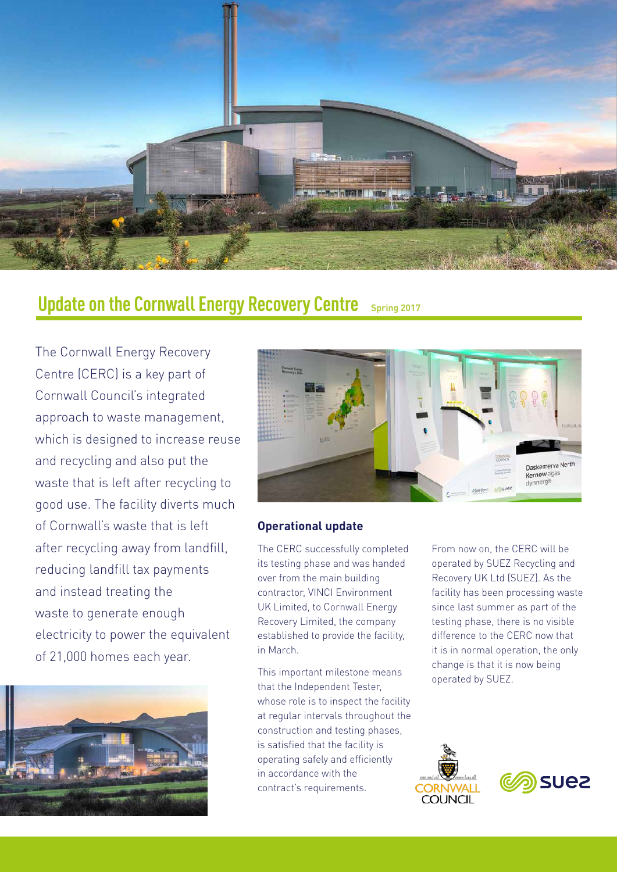

## **Update on the Cornwall Energy Recovery Centre** *Spring 2017*

The Cornwall Energy Recovery Centre (CERC) is a key part of Cornwall Council's integrated approach to waste management, which is designed to increase reuse and recycling and also put the waste that is left after recycling to good use. The facility diverts much of Cornwall's waste that is left after recycling away from landfill, reducing landfill tax payments and instead treating the waste to generate enough electricity to power the equivalent of 21,000 homes each year.





#### **Operational update**

The CERC successfully completed its testing phase and was handed over from the main building contractor, VINCI Environment UK Limited, to Cornwall Energy Recovery Limited, the company established to provide the facility, in March.

This important milestone means that the Independent Tester, whose role is to inspect the facility at regular intervals throughout the construction and testing phases, is satisfied that the facility is operating safely and efficiently in accordance with the contract's requirements.

From now on, the CERC will be operated by SUEZ Recycling and Recovery UK Ltd (SUEZ). As the facility has been processing waste since last summer as part of the testing phase, there is no visible difference to the CERC now that it is in normal operation, the only change is that it is now being operated by SUEZ.